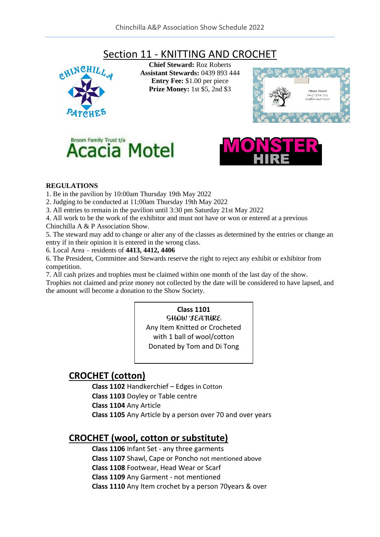# Section 11 - KNITTING AND CROCHET



**Chief Steward:** Roz Roberts **Assistant Stewards:** 0439 893 444 **Entry Fee:** \$1.00 per piece **Prize Money:** 1st \$5, 2nd \$3







#### **REGULATIONS**

- 1. Be in the pavilion by 10:00am Thursday 19th May 2022
- 2. Judging to be conducted at 11;00am Thursday 19th May 2022
- 3. All entries to remain in the pavilion until 3:30 pm Saturday 21st May 2022
- 4. All work to be the work of the exhibitor and must not have or won or entered at a previous Chinchilla A & P Association Show.

5. The steward may add to change or alter any of the classes as determined by the entries or change an entry if in their opinion it is entered in the wrong class.

6. Local Area – residents of **4413, 4412, 4406**

6. The President, Committee and Stewards reserve the right to reject any exhibit or exhibitor from competition.

7. All cash prizes and trophies must be claimed within one month of the last day of the show.

Trophies not claimed and prize money not collected by the date will be considered to have lapsed, and the amount will become a donation to the Show Society.

# **Class 1101**

SHOW FEATURE Any Item Knitted or Crocheted with 1 ball of wool/cotton Donated by Tom and Di Tong

## **CROCHET (cotton)**

**Class 1102** Handkerchief – Edges in Cotton **Class 1103** Doyley or Table centre **Class 1104** Any Article **Class 1105** Any Article by a person over 70 and over years

### **CROCHET (wool, cotton or substitute)**

**Class 1106** Infant Set - any three garments

**Class 1107** Shawl, Cape or Poncho not mentioned above

**Class 1108** Footwear, Head Wear or Scarf

**Class 1109** Any Garment - not mentioned

**Class 1110** Any Item crochet by a person 70years & over